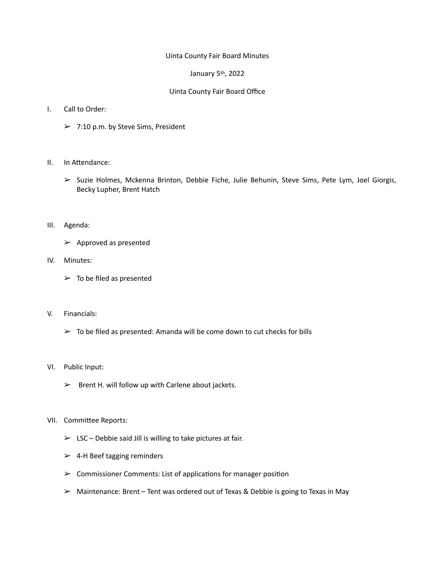## Uinta County Fair Board Minutes

## January 5<sup>th</sup>, 2022

## Uinta County Fair Board Office

- I. Call to Order:
	- $> 7:10$  p.m. by Steve Sims, President
- II. In Attendance:
	- $\triangleright$  Suzie Holmes, Mckenna Brinton, Debbie Fiche, Julie Behunin, Steve Sims, Pete Lym, Joel Giorgis, Becky Lupher, Brent Hatch
- III. Agenda:
	- $\triangleright$  Approved as presented
- IV. Minutes:
	- $\triangleright$  To be filed as presented
- V. Financials:
	- $\triangleright$  To be filed as presented: Amanda will be come down to cut checks for bills
- VI. Public Input:
	- $\triangleright$  Brent H. will follow up with Carlene about jackets.

## VII. Committee Reports:

- $\triangleright$  LSC Debbie said Jill is willing to take pictures at fair.
- $\geq$  4-H Beef tagging reminders
- $\triangleright$  Commissioner Comments: List of applications for manager position
- $\triangleright$  Maintenance: Brent Tent was ordered out of Texas & Debbie is going to Texas in May